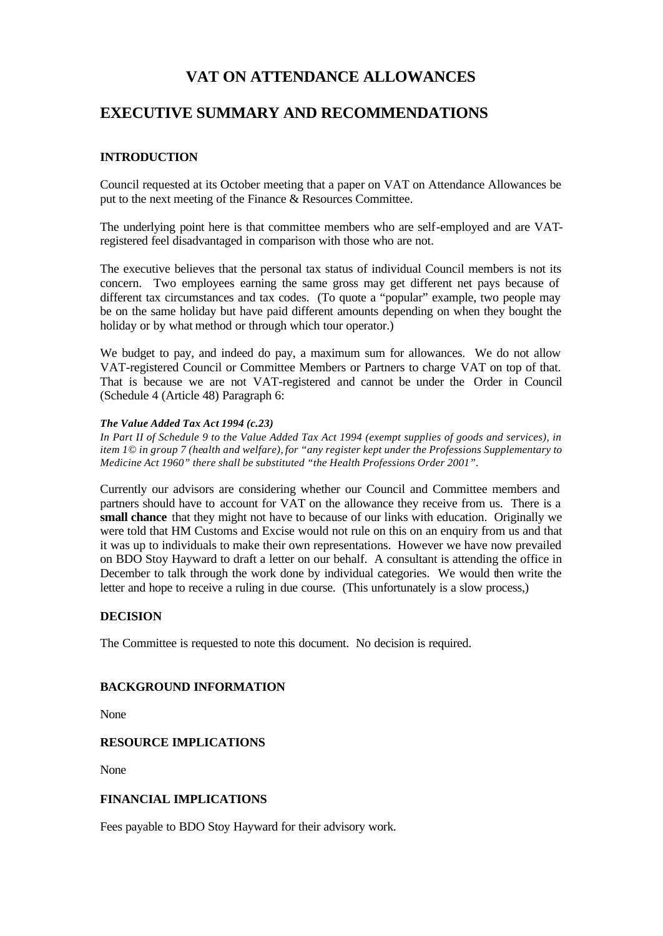# **VAT ON ATTENDANCE ALLOWANCES**

# **EXECUTIVE SUMMARY AND RECOMMENDATIONS**

#### **INTRODUCTION**

Council requested at its October meeting that a paper on VAT on Attendance Allowances be put to the next meeting of the Finance & Resources Committee.

The underlying point here is that committee members who are self-employed and are VATregistered feel disadvantaged in comparison with those who are not.

The executive believes that the personal tax status of individual Council members is not its concern. Two employees earning the same gross may get different net pays because of different tax circumstances and tax codes. (To quote a "popular" example, two people may be on the same holiday but have paid different amounts depending on when they bought the holiday or by what method or through which tour operator.)

We budget to pay, and indeed do pay, a maximum sum for allowances. We do not allow VAT-registered Council or Committee Members or Partners to charge VAT on top of that. That is because we are not VAT-registered and cannot be under the Order in Council (Schedule 4 (Article 48) Paragraph 6:

#### *The Value Added Tax Act 1994 (c.23)*

*In Part II of Schedule 9 to the Value Added Tax Act 1994 (exempt supplies of goods and services), in item 1© in group 7 (health and welfare), for "any register kept under the Professions Supplementary to Medicine Act 1960" there shall be substituted "the Health Professions Order 2001".*

Currently our advisors are considering whether our Council and Committee members and partners should have to account for VAT on the allowance they receive from us. There is a **small chance** that they might not have to because of our links with education. Originally we were told that HM Customs and Excise would not rule on this on an enquiry from us and that it was up to individuals to make their own representations. However we have now prevailed on BDO Stoy Hayward to draft a letter on our behalf. A consultant is attending the office in December to talk through the work done by individual categories. We would then write the letter and hope to receive a ruling in due course. (This unfortunately is a slow process,)

#### **DECISION**

The Committee is requested to note this document. No decision is required.

#### **BACKGROUND INFORMATION**

None

#### **RESOURCE IMPLICATIONS**

None

#### **FINANCIAL IMPLICATIONS**

Fees payable to BDO Stoy Hayward for their advisory work.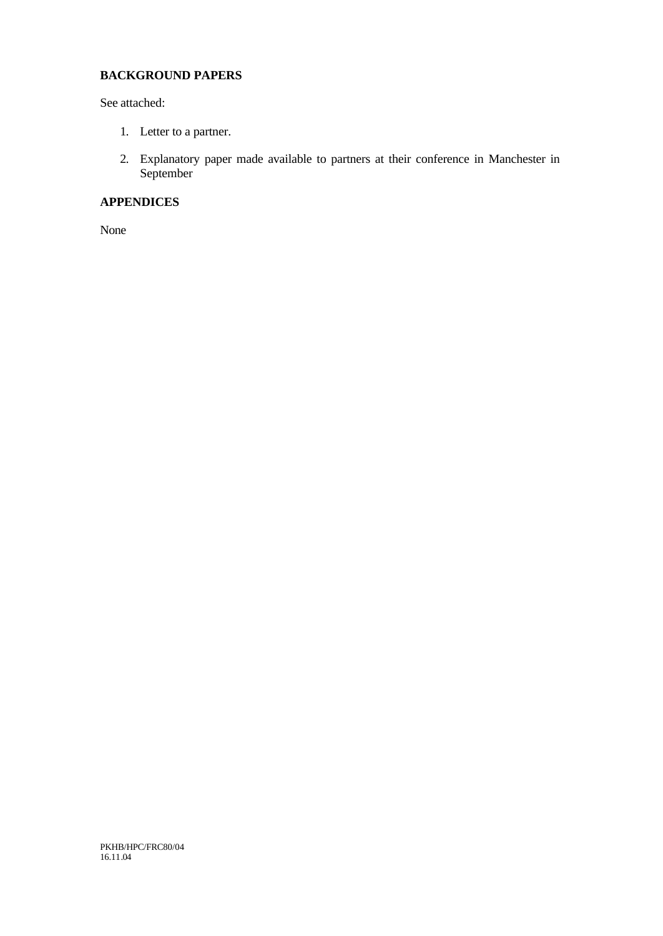## **BACKGROUND PAPERS**

See attached:

- 1. Letter to a partner.
- 2. Explanatory paper made available to partners at their conference in Manchester in September

### **APPENDICES**

None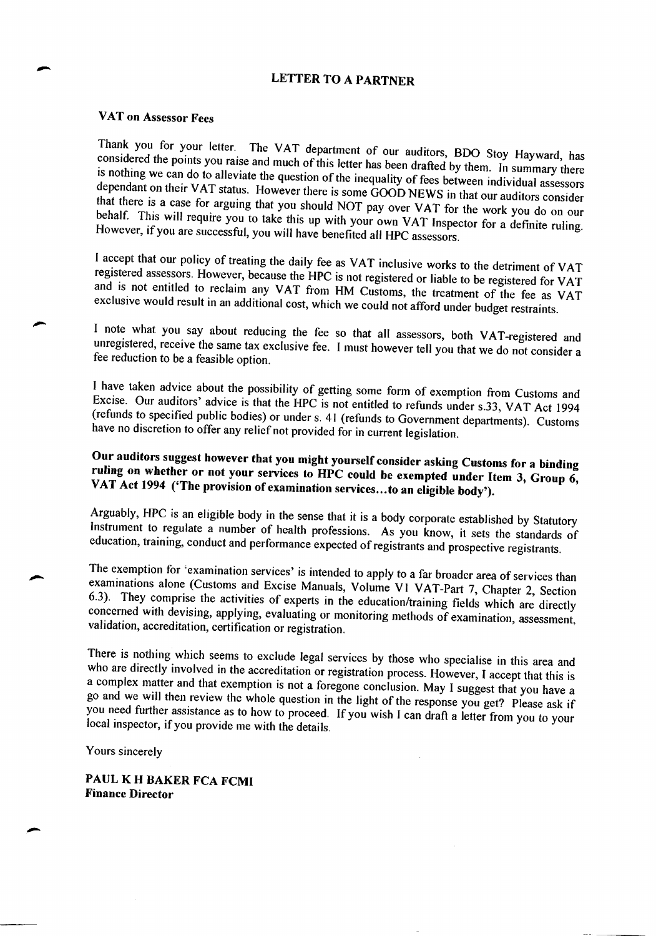# **LETTER TO A PARTNER**

## VAT on Assessor Fees

Thank you for your letter. The VAT department of our auditors, BDO Stoy Hayward, has considered the points you raise and much of this letter has been drafted by them. In summary there is nothing we can do to alleviate the question of the inequality of fees between individual assessors dependant on their VAT status. However there is some GOOD NEWS in that our auditors consider that there is a case for arguing that you should NOT pay over VAT for the work you do on our behalf. This will require you to take this up with your own VAT Inspector for a definite ruling. However, if you are successful, you will have benefited all HPC assessors.

I accept that our policy of treating the daily fee as VAT inclusive works to the detriment of VAT registered assessors. However, because the HPC is not registered or liable to be registered for VAT and is not entitled to reclaim any VAT from HM Customs, the treatment of the fee as VAT exclusive would result in an additional cost, which we could not afford under budget restraints.

I note what you say about reducing the fee so that all assessors, both VAT-registered and unregistered, receive the same tax exclusive fee. I must however tell you that we do not consider a fee reduction to be a feasible option.

I have taken advice about the possibility of getting some form of exemption from Customs and Excise. Our auditors' advice is that the HPC is not entitled to refunds under s.33, VAT Act 1994 (refunds to specified public bodies) or under s. 41 (refunds to Government departments). Customs have no discretion to offer any relief not provided for in current legislation.

# Our auditors suggest however that you might yourself consider asking Customs for a binding ruling on whether or not your services to HPC could be exempted under Item 3, Group 6, VAT Act 1994 ('The provision of examination services...to an eligible body').

Arguably, HPC is an eligible body in the sense that it is a body corporate established by Statutory Instrument to regulate a number of health professions. As you know, it sets the standards of education, training, conduct and performance expected of registrants and prospective registrants.

The exemption for 'examination services' is intended to apply to a far broader area of services than examinations alone (Customs and Excise Manuals, Volume V1 VAT-Part 7, Chapter 2, Section 6.3). They comprise the activities of experts in the education/training fields which are directly concerned with devising, applying, evaluating or monitoring methods of examination, assessment, validation, accreditation, certification or registration.

There is nothing which seems to exclude legal services by those who specialise in this area and who are directly involved in the accreditation or registration process. However, I accept that this is a complex matter and that exemption is not a foregone conclusion. May I suggest that you have a go and we will then review the whole question in the light of the response you get? Please ask if you need further assistance as to how to proceed. If you wish I can draft a letter from you to your local inspector, if you provide me with the details.

Yours sincerely

PAUL K H BAKER FCA FCMI **Finance Director**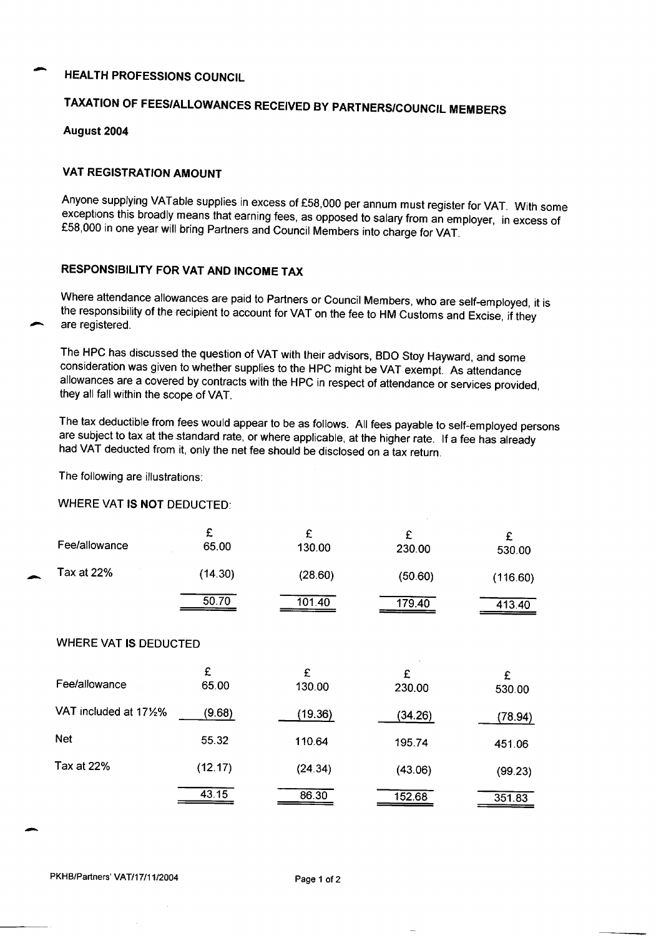## **HEALTH PROFESSIONS COUNCIL**

# TAXATION OF FEES/ALLOWANCES RECEIVED BY PARTNERS/COUNCIL MEMBERS

August 2004

#### **VAT REGISTRATION AMOUNT**

Anyone supplying VATable supplies in excess of £58,000 per annum must register for VAT. With some exceptions this broadly means that earning fees, as opposed to salary from an employer, in excess of £58,000 in one year will bring Partners and Council Members into charge for VAT.

### RESPONSIBILITY FOR VAT AND INCOME TAX

Where attendance allowances are paid to Partners or Council Members, who are self-employed, it is the responsibility of the recipient to account for VAT on the fee to HM Customs and Excise, if they are registered.

The HPC has discussed the question of VAT with their advisors, BDO Stoy Hayward, and some consideration was given to whether supplies to the HPC might be VAT exempt. As attendance allowances are a covered by contracts with the HPC in respect of attendance or services provided, they all fall within the scope of VAT.

The tax deductible from fees would appear to be as follows. All fees payable to self-employed persons are subject to tax at the standard rate, or where applicable, at the higher rate. If a fee has already had VAT deducted from it, only the net fee should be disclosed on a tax return.

The following are illustrations:

## **WHERE VAT IS NOT DEDUCTED:**

| Fee/allowance                | £<br>65.00 | £<br>130.00 | £<br>230.00 | £<br>530.00 |
|------------------------------|------------|-------------|-------------|-------------|
| Tax at 22%                   | (14.30)    | (28.60)     | (50.60)     | (116.60)    |
|                              | 50.70      | 101.40      | 179.40      | 413.40      |
| <b>WHERE VAT IS DEDUCTED</b> |            |             |             |             |
| Fee/allowance                | £<br>65.00 | £<br>130.00 | £<br>230.00 | £<br>530.00 |
| VAT included at 171/2%       | (9.68)     | (19.36)     | (34.26)     | (78.94)     |
| <b>Net</b>                   | 55.32      | 110.64      | 195.74      | 451.06      |
| Tax at 22%                   | (12.17)    | (24.34)     | (43.06)     | (99.23)     |
|                              | 43.15      | 86.30       | 152.68      | 351.83      |

PKHB/Partners' VAT/17/11/2004